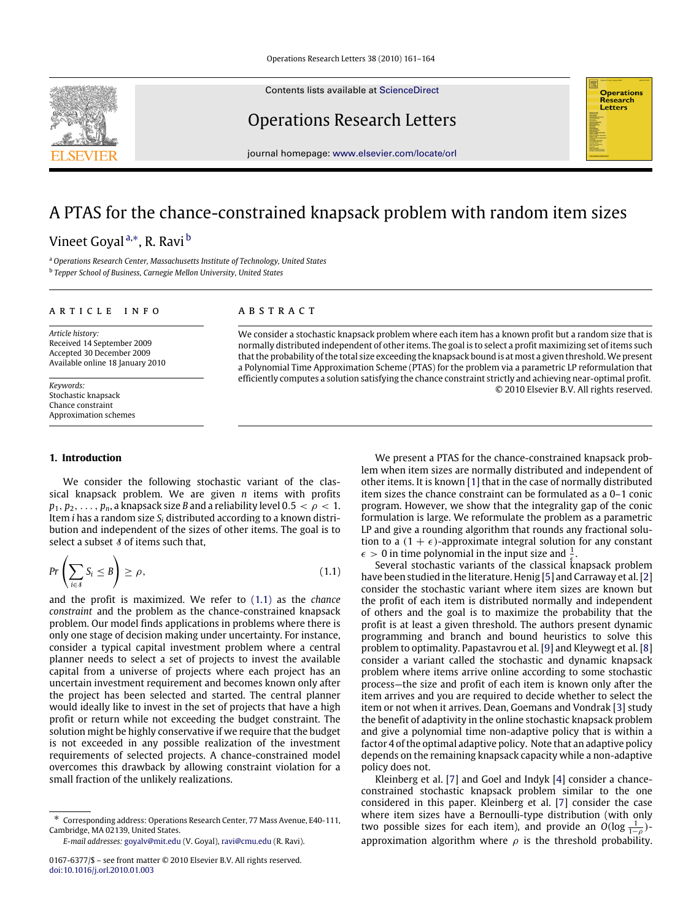Contents lists available at [ScienceDirect](http://www.elsevier.com/locate/orl)

## Operations Research Letters

journal homepage: [www.elsevier.com/locate/orl](http://www.elsevier.com/locate/orl)

# A PTAS for the chance-constrained knapsack problem with random item sizes

## Vineet Goyal <sup>[a,](#page-0-0)[∗](#page-0-1)</sup>, R. Ravi <sup>[b](#page-0-2)</sup>

<span id="page-0-2"></span><span id="page-0-0"></span><sup>a</sup> *Operations Research Center, Massachusetts Institute of Technology, United States* b *Tepper School of Business, Carnegie Mellon University, United States*

#### ARTICLE INFO

*Article history:* Received 14 September 2009 Accepted 30 December 2009 Available online 18 January 2010

*Keywords:* Stochastic knapsack Chance constraint Approximation schemes

### a b s t r a c t

We consider a stochastic knapsack problem where each item has a known profit but a random size that is normally distributed independent of other items. The goal is to select a profit maximizing set of items such that the probability of the total size exceeding the knapsack bound is at most a given threshold.We present a Polynomial Time Approximation Scheme (PTAS) for the problem via a parametric LP reformulation that efficiently computes a solution satisfying the chance constraint strictly and achieving near-optimal profit. © 2010 Elsevier B.V. All rights reserved.

#### **1. Introduction**

We consider the following stochastic variant of the classical knapsack problem. We are given *n* items with profits  $p_1, p_2, \ldots, p_n$ , a knapsack size *B* and a reliability level 0.5  $\lt \rho \lt 1$ . Item *i* has a random size *S<sup>i</sup>* distributed according to a known distribution and independent of the sizes of other items. The goal is to select a subset  $\delta$  of items such that,

$$
Pr\left(\sum_{i\in\mathcal{S}} S_i \le B\right) \ge \rho,\tag{1.1}
$$

and the profit is maximized. We refer to [\(1.1\)](#page-0-3) as the *chance constraint* and the problem as the chance-constrained knapsack problem. Our model finds applications in problems where there is only one stage of decision making under uncertainty. For instance, consider a typical capital investment problem where a central planner needs to select a set of projects to invest the available capital from a universe of projects where each project has an uncertain investment requirement and becomes known only after the project has been selected and started. The central planner would ideally like to invest in the set of projects that have a high profit or return while not exceeding the budget constraint. The solution might be highly conservative if we require that the budget is not exceeded in any possible realization of the investment requirements of selected projects. A chance-constrained model overcomes this drawback by allowing constraint violation for a small fraction of the unlikely realizations.

We present a PTAS for the chance-constrained knapsack problem when item sizes are normally distributed and independent of other items. It is known [\[1\]](#page-3-0) that in the case of normally distributed item sizes the chance constraint can be formulated as a 0–1 conic program. However, we show that the integrality gap of the conic formulation is large. We reformulate the problem as a parametric LP and give a rounding algorithm that rounds any fractional solution to a  $(1 + \epsilon)$ -approximate integral solution for any constant  $\epsilon > 0$  in time polynomial in the input size and  $\frac{1}{\epsilon}$ .

<span id="page-0-3"></span>Several stochastic variants of the classical knapsack problem have been studied in the literature. Henig [\[5\]](#page-3-1) and Carraway et al. [\[2\]](#page-3-2) consider the stochastic variant where item sizes are known but the profit of each item is distributed normally and independent of others and the goal is to maximize the probability that the profit is at least a given threshold. The authors present dynamic programming and branch and bound heuristics to solve this problem to optimality. Papastavrou et al. [\[9\]](#page-3-3) and Kleywegt et al. [\[8\]](#page-3-4) consider a variant called the stochastic and dynamic knapsack problem where items arrive online according to some stochastic process—the size and profit of each item is known only after the item arrives and you are required to decide whether to select the item or not when it arrives. Dean, Goemans and Vondrak [\[3\]](#page-3-5) study the benefit of adaptivity in the online stochastic knapsack problem and give a polynomial time non-adaptive policy that is within a factor 4 of the optimal adaptive policy. Note that an adaptive policy depends on the remaining knapsack capacity while a non-adaptive policy does not.

Kleinberg et al. [\[7\]](#page-3-6) and Goel and Indyk [\[4\]](#page-3-7) consider a chanceconstrained stochastic knapsack problem similar to the one considered in this paper. Kleinberg et al. [\[7\]](#page-3-6) consider the case where item sizes have a Bernoulli-type distribution (with only two possible sizes for each item), and provide an  $O(\log \frac{1}{1-\rho})$ approximation algorithm where  $\rho$  is the threshold probability.





<span id="page-0-1"></span><sup>∗</sup> Corresponding address: Operations Research Center, 77 Mass Avenue, E40-111, Cambridge, MA 02139, United States.

*E-mail addresses:* [goyalv@mit.edu](mailto:goyalv@mit.edu) (V. Goyal), [ravi@cmu.edu](mailto:ravi@cmu.edu) (R. Ravi).

<sup>0167-6377/\$ –</sup> see front matter © 2010 Elsevier B.V. All rights reserved. [doi:10.1016/j.orl.2010.01.003](http://dx.doi.org/10.1016/j.orl.2010.01.003)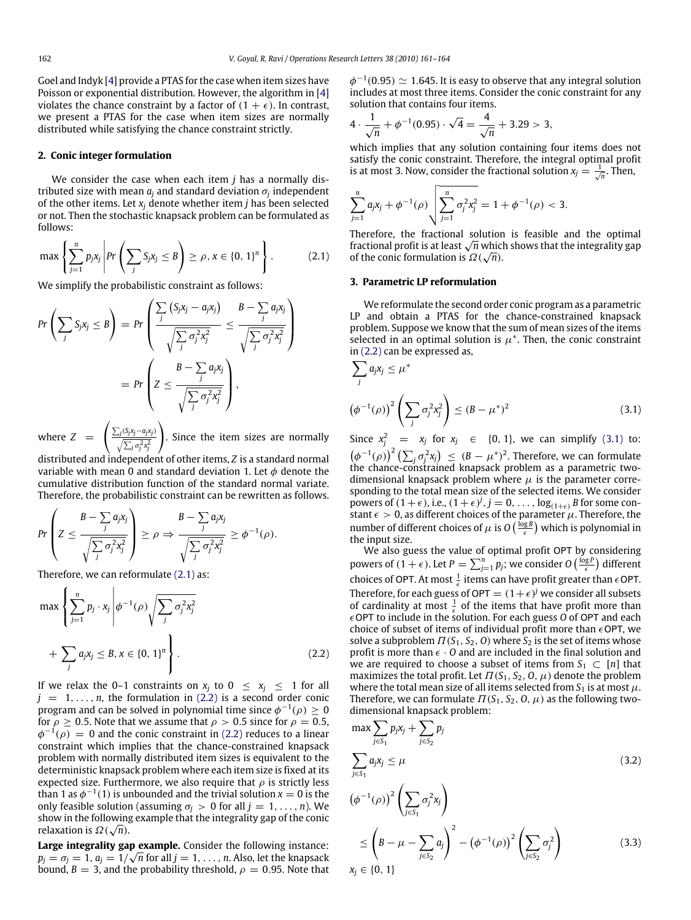Goel and Indyk [\[4\]](#page-3-7) provide a PTAS for the case when item sizes have Poisson or exponential distribution. However, the algorithm in [\[4\]](#page-3-7) violates the chance constraint by a factor of  $(1 + \epsilon)$ . In contrast, we present a PTAS for the case when item sizes are normally distributed while satisfying the chance constraint strictly.

#### **2. Conic integer formulation**

We consider the case when each item *j* has a normally distributed size with mean *a<sup>j</sup>* and standard deviation σ*<sup>j</sup>* independent of the other items. Let  $x_i$  denote whether item *j* has been selected or not. Then the stochastic knapsack problem can be formulated as follows:

$$
\max\left\{\sum_{j=1}^n p_j x_j \middle| Pr\left(\sum_j S_j x_j \leq B\right) \geq \rho, x \in \{0, 1\}^n\right\}.
$$
 (2.1)

We simplify the probabilistic constraint as follows:

$$
Pr\left(\sum_{j} S_{j}x_{j} \leq B\right) = Pr\left(\frac{\sum_{j}\left(S_{j}x_{j} - a_{j}x_{j}\right)}{\sqrt{\sum_{j}\sigma_{j}^{2}x_{j}^{2}}} \leq \frac{B - \sum_{j} a_{j}x_{j}}{\sqrt{\sum_{j}\sigma_{j}^{2}x_{j}^{2}}}\right)
$$

$$
= Pr\left(Z \leq \frac{B - \sum_{j} a_{j}x_{j}}{\sqrt{\sum_{j}\sigma_{j}^{2}x_{j}^{2}}}\right),
$$

where  $Z = \left( \frac{\sum_j (S_j x_j - a_j x_j)}{\sqrt{a_j a_j}} \right)$  $\sqrt{\sum_j \sigma_j^2 x_j^2}$ ! . Since the item sizes are normally

distributed and independent of other items, *Z* is a standard normal variable with mean 0 and standard deviation 1. Let  $\phi$  denote the cumulative distribution function of the standard normal variate. Therefore, the probabilistic constraint can be rewritten as follows.

$$
Pr\left(Z \leq \frac{B - \sum_{j} a_{j}x_{j}}{\sqrt{\sum_{j} \sigma_{j}^{2}x_{j}^{2}}}\right) \geq \rho \Rightarrow \frac{B - \sum_{j} a_{j}x_{j}}{\sqrt{\sum_{j} \sigma_{j}^{2}x_{j}^{2}}} \geq \phi^{-1}(\rho).
$$

Therefore, we can reformulate [\(2.1\)](#page-1-0) as:

$$
\max \left\{ \sum_{j=1}^{n} p_j \cdot x_j \middle| \phi^{-1}(\rho) \sqrt{\sum_j \sigma_j^2 x_j^2} + \sum_j a_j x_j \leq B, x \in \{0, 1\}^n \right\}.
$$
\n(2.2)

If we relax the 0–1 constraints on  $x_j$  to  $0 \le x_j \le 1$  for all  $j = 1, \ldots, n$ , the formulation in [\(2.2\)](#page-1-1) is a second order conic program and can be solved in polynomial time since  $\phi^{-1}(\rho) \geq 0$ for  $\rho \geq 0.5$ . Note that we assume that  $\rho > 0.5$  since for  $\rho = 0.5$ ,  $\phi^{-1}(\rho) = 0$  and the conic constraint in [\(2.2\)](#page-1-1) reduces to a linear constraint which implies that the chance-constrained knapsack problem with normally distributed item sizes is equivalent to the deterministic knapsack problem where each item size is fixed at its expected size. Furthermore, we also require that  $\rho$  is strictly less than 1 as  $\phi^{-1}(1)$  is unbounded and the trivial solution  $x = 0$  is the only feasible solution (assuming  $\sigma_i > 0$  for all  $j = 1, \ldots, n$ ). We show in the following example that the integrality gap of the conic  $\bar{a}$ relaxation is  $\Omega(\sqrt{n}).$ 

**Large integrality gap example.** Consider the following instance:  $p_j = \sigma_j = 1, a_j = 1/\sqrt{n}$  for all  $j = 1, \ldots, n$ . Also, let the knapsack bound,  $B = 3$ , and the probability threshold,  $\rho = 0.95$ . Note that  $\phi^{-1}(0.95) \simeq 1.645$ . It is easy to observe that any integral solution includes at most three items. Consider the conic constraint for any solution that contains four items.

$$
4 \cdot \frac{1}{\sqrt{n}} + \phi^{-1}(0.95) \cdot \sqrt{4} = \frac{4}{\sqrt{n}} + 3.29 > 3,
$$

which implies that any solution containing four items does not satisfy the conic constraint. Therefore, the integral optimal profit is at most 3. Now, consider the fractional solution  $x_j = \frac{1}{\sqrt{n}}$ . Then,

$$
\sum_{j=1}^{n} a_j x_j + \phi^{-1}(\rho) \sqrt{\sum_{j=1}^{n} \sigma_j^2 x_j^2} = 1 + \phi^{-1}(\rho) < 3.
$$

<span id="page-1-0"></span>Therefore, the fractional solution is feasible and the optimal Therefore, the fractional solution is feasible and the optimal fractional profit is at least  $\sqrt{n}$  which shows that the integrality gap of the conic formulation is  $\Omega(\sqrt{n})$ .

#### **3. Parametric LP reformulation**

We reformulate the second order conic program as a parametric LP and obtain a PTAS for the chance-constrained knapsack problem. Suppose we know that the sum of mean sizes of the items selected in an optimal solution is  $\mu^*$ . Then, the conic constraint in [\(2.2\)](#page-1-1) can be expressed as,

<span id="page-1-2"></span>
$$
\sum_{j} a_j x_j \le \mu^*
$$
\n
$$
\left(\phi^{-1}(\rho)\right)^2 \left(\sum_{j} \sigma_j^2 x_j^2\right) \le (B - \mu^*)^2
$$
\n(3.1)

Since  $x_j^2 = x_j$  for  $x_j \in \{0, 1\}$ , we can simplify [\(3.1\)](#page-1-2) to:  $\left(\phi^{-1}(\rho)\right)^2 \left(\sum_j \sigma_j^2 x_j\right) \leq (B - \mu^*)^2$ . Therefore, we can formulate the chance-constrained knapsack problem as a parametric twodimensional knapsack problem where  $\mu$  is the parameter corresponding to the total mean size of the selected items. We consider powers of  $(1+\epsilon)$ , i.e.,  $(1+\epsilon)^j$ ,  $j = 0, \ldots, \log_{(1+\epsilon)} B$  for some constant  $\epsilon > 0$ , as different choices of the parameter  $\mu$ . Therefore, the number of different choices of  $\mu$  is  $O\left(\frac{\log B}{\epsilon}\right)$  which is polynomial in the input size.

<span id="page-1-1"></span>We also guess the value of optimal profit OPT by considering powers of  $(1 + \epsilon)$ . Let  $P = \sum_{j=1}^{n} p_j$ ; we consider  $O\left(\frac{\log P}{\epsilon}\right)$  different choices of OPT. At most  $\frac{1}{\epsilon}$  items can have profit greater than  $\epsilon$  OPT. Therefore, for each guess of OPT =  $(1+\epsilon)^j$  we consider all subsets of cardinality at most  $\frac{1}{\epsilon}$  of the items that have profit more than OPT to include in the solution. For each guess *O* of OPT and each choice of subset of items of individual profit more than  $\epsilon$ OPT, we solve a subproblem  $\Pi(S_1, S_2, 0)$  where  $S_2$  is the set of items whose profit is more than  $\epsilon \cdot 0$  and are included in the final solution and we are required to choose a subset of items from  $S_1 \subset [n]$  that maximizes the total profit. Let  $\Pi(S_1, S_2, O, \mu)$  denote the problem where the total mean size of all items selected from  $S_1$  is at most  $\mu$ . Therefore, we can formulate  $\Pi(S_1, S_2, O, \mu)$  as the following twodimensional knapsack problem:

<span id="page-1-4"></span><span id="page-1-3"></span>
$$
\max \sum_{j \in S_1} p_j x_j + \sum_{j \in S_2} p_j
$$
\n
$$
\sum_{j \in S_1} a_j x_j \le \mu
$$
\n
$$
(\phi^{-1}(\rho))^2 \left( \sum_{j \in S_1} \sigma_j^2 x_j \right)
$$
\n
$$
\le \left( B - \mu - \sum_{j \in S_2} a_j \right)^2 - \left( \phi^{-1}(\rho) \right)^2 \left( \sum_{j \in S_2} \sigma_j^2 \right)
$$
\n
$$
x_j \in \{0, 1\}
$$
\n(3.3)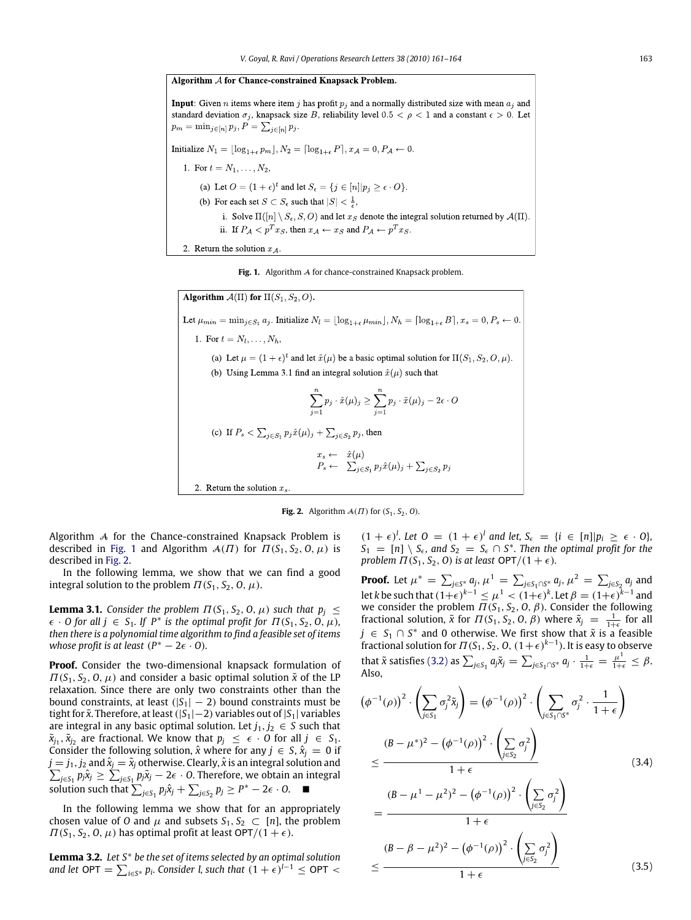<span id="page-2-0"></span>Algorithm A for Chance-constrained Knapsack Problem. **Input:** Given *n* items where item *j* has profit  $p_i$  and a normally distributed size with mean  $a_i$  and standard deviation  $\sigma_i$ , knapsack size B, reliability level  $0.5 < \rho < 1$  and a constant  $\epsilon > 0$ . Let  $p_m = \min_{j \in [n]} p_j, P = \sum_{i \in [n]} p_j.$ Initialize  $N_1 = |\log_{1+\epsilon} p_m|, N_2 = [\log_{1+\epsilon} P], x_{\mathcal{A}} = 0, P_{\mathcal{A}} \leftarrow 0.$ 1. For  $t = N_1, ..., N_2$ , (a) Let  $O = (1 + \epsilon)^t$  and let  $S_{\epsilon} = \{j \in [n] | p_j \ge \epsilon \cdot O \}$ . (b) For each set  $S \subset S_{\epsilon}$  such that  $|S| < \frac{1}{\epsilon}$ , i. Solve  $\Pi([n] \setminus S_{\epsilon}, S, O)$  and let  $x_S$  denote the integral solution returned by  $\mathcal{A}(\Pi)$ ii. If  $P_{\mathcal{A}} < p^T x_S$ , then  $x_{\mathcal{A}} \leftarrow x_S$  and  $P_{\mathcal{A}} \leftarrow p^T x_S$ . 2. Return the solution  $x_{\mathcal{A}}$ .

Fig. 1. Algorithm A for chance-constrained Knapsack problem.

<span id="page-2-1"></span>Algorithm  $A(\Pi)$  for  $\Pi(S_1, S_2, O)$ . Let  $\mu_{min} = \min_{j \in S_1} a_j$ . Initialize  $N_l = \lfloor \log_{1+\epsilon} \mu_{min} \rfloor, N_h = \lceil \log_{1+\epsilon} B \rceil, x_s = 0, P_s \leftarrow 0$ . 1. For  $t = N_1, ..., N_h$ , (a) Let  $\mu = (1 + \epsilon)^t$  and let  $\tilde{x}(\mu)$  be a basic optimal solution for  $\Pi(S_1, S_2, O, \mu)$ . (b) Using Lemma 3.1 find an integral solution  $\hat{x}(\mu)$  such that  $\sum_{i=1}^n p_j \cdot \hat{x}(\mu)_j \geq \sum_{i=1}^n p_j \cdot \tilde{x}(\mu)_j - 2\epsilon \cdot O$ (c) If  $P_s < \sum_{j \in S_1} p_j \hat{x}(\mu)_j + \sum_{j \in S_2} p_j$ , then  $\begin{array}{rcl} x_s \leftarrow & \hat{x}(\mu) \\ P_s \leftarrow & \sum_{j \in S_1} p_j \hat{x}(\mu)_j + \sum_{j \in S_2} p_j \end{array}$ 2. Return the solution  $x_s$ 



Algorithm A for the Chance-constrained Knapsack Problem is described in [Fig. 1](#page-2-0) and Algorithm  $A(\Pi)$  for  $\Pi(S_1, S_2, 0, \mu)$  is described in [Fig. 2.](#page-2-1)

In the following lemma, we show that we can find a good integral solution to the problem  $\Pi(S_1, S_2, 0, \mu)$ .

<span id="page-2-5"></span>**Lemma 3.1.** *Consider the problem*  $\Pi$ (*S*<sub>1</sub>, *S*<sub>2</sub>, *O*,  $\mu$ ) *such that*  $p_j \leq$  $\epsilon$  · *O* for all  $j \in S_1$ . If  $P^*$  is the optimal profit for  $\Pi(S_1, S_2, 0, \mu)$ , *then there is a polynomial time algorithm to find a feasible set of items whose profit is at least*  $(P^* - 2\epsilon \cdot 0)$ *.* 

**Proof.** Consider the two-dimensional knapsack formulation of  $\Pi(S_1, S_2, O, \mu)$  and consider a basic optimal solution  $\tilde{x}$  of the LP relaxation. Since there are only two constraints other than the bound constraints, at least  $(|S_1| - 2)$  bound constraints must be tight for *x*˜. Therefore, at least(|*S*1|−2) variables out of |*S*1| variables are integral in any basic optimal solution. Let  $j_1, j_2 \in S$  such that  $\tilde{x}_{j_1}, \tilde{x}_{j_2}$  are fractional. We know that  $p_j \leq \epsilon \cdot 0$  for all  $j \in S_1$ . Consider the following solution,  $\hat{x}$  where for any  $j \in S$ ,  $\hat{x}$ <sup>*j*</sup> = 0 if  $j = j_1, j_2$  and  $\hat{x}_j = \tilde{x}_j$  otherwise. Clearly,  $\hat{x}$  is an integral solution and  $\sum_{i \in S} p_i \hat{x}_i \geq \sum_{i \in S} p_i \tilde{x}_i - 2\epsilon \cdot 0$ . Therefore, we obtain an integral  $\sum_{j\in S_1} p_j\hat{\chi}_j \geq \sum_{j\in S_1} p_j\tilde{\chi}_j - 2\epsilon\cdot 0.$  Therefore, we obtain an integral *s* olution such that  $\sum_{j \in S_1} p_j \hat{x}_j + \sum_{j \in S_2} p_j \ge P^* - 2\epsilon \cdot 0$ . ■

In the following lemma we show that for an appropriately chosen value of *O* and  $\mu$  and subsets  $S_1, S_2 \subset [n]$ , the problem  $\Pi(S_1, S_2, 0, \mu)$  has optimal profit at least  $\textsf{OPT}/(1+\epsilon)$ .

<span id="page-2-4"></span>**Lemma 3.2.** *Let S*<sup>∗</sup> *be the set of items selected by an optimal solution and let* OPT  $= \sum_{i \in S^*} p_i$ . Consider l, such that  $(1 + \epsilon)^{l-1} \leq \textsf{OPT} <$ 

 $(1 + \epsilon)^l$ . Let  $0 = (1 + \epsilon)^l$  and let,  $S_{\epsilon} = \{i \in [n] | p_i \ge \epsilon \cdot 0\}$ ,  $S_1 = [n] \setminus S_{\epsilon}$ , and  $S_2 = S_{\epsilon} \cap S^*$ . Then the optimal profit for the *problem*  $\Pi$  ( $S_1$ ,  $S_2$ ,  $O$ ) *is at least*  $OPT/(1 + \epsilon)$ *.* 

**Proof.** Let  $\mu^* = \sum_{j \in S^*} a_j$ ,  $\mu^1 = \sum_{j \in S_1 \cap S^*} a_j$ ,  $\mu^2 = \sum_{j \in S_2} a_j$  and let *k* be such that  $(1+\epsilon)^{k-1} \leq \mu^1 < (1+\epsilon)^k$ . Let  $\beta = (1+\epsilon)^{k-1}$  and we consider the problem  $\Pi(S_1, S_2, O, \beta)$ . Consider the following fractional solution,  $\tilde{x}$  for  $\Pi(S_1, S_2, O, \beta)$  where  $\tilde{x}_j = \frac{1}{1+\epsilon}$  for all *j* ∈  $S_1$  ∩  $S^*$  and 0 otherwise. We first show that  $\tilde{x}$  is a feasible fractional solution for  $\Pi(\mathcal{S}_1, \mathcal{S}_2, 0, (1+\epsilon)^{k-1})$ . It is easy to observe that  $\tilde{x}$  satisfies [\(3.2\)](#page-1-3) as  $\sum_{j \in S_1} a_j \tilde{x}_j = \sum_{j \in S_1 \cap S^*} a_j \cdot \frac{1}{1+\epsilon} = \frac{\mu^1}{1+\epsilon} \leq \beta$ . Also,

<span id="page-2-3"></span><span id="page-2-2"></span>
$$
(\phi^{-1}(\rho))^{2} \cdot \left(\sum_{j\in S_{1}} \sigma_{j}^{2} \tilde{\chi}_{j}\right) = (\phi^{-1}(\rho))^{2} \cdot \left(\sum_{j\in S_{1}\cap S^{*}} \sigma_{j}^{2} \cdot \frac{1}{1+\epsilon}\right)
$$
  

$$
\leq \frac{(B-\mu^{*})^{2} - (\phi^{-1}(\rho))^{2} \cdot \left(\sum_{j\in S_{2}} \sigma_{j}^{2}\right)}{1+\epsilon}
$$
  

$$
= \frac{(B-\mu^{1}-\mu^{2})^{2} - (\phi^{-1}(\rho))^{2} \cdot \left(\sum_{j\in S_{2}} \sigma_{j}^{2}\right)}{1+\epsilon}
$$
  

$$
\leq \frac{(B-\beta-\mu^{2})^{2} - (\phi^{-1}(\rho))^{2} \cdot \left(\sum_{j\in S_{2}} \sigma_{j}^{2}\right)}{1+\epsilon}
$$
  

$$
\leq \frac{(3.5)^{2}}{\epsilon}
$$